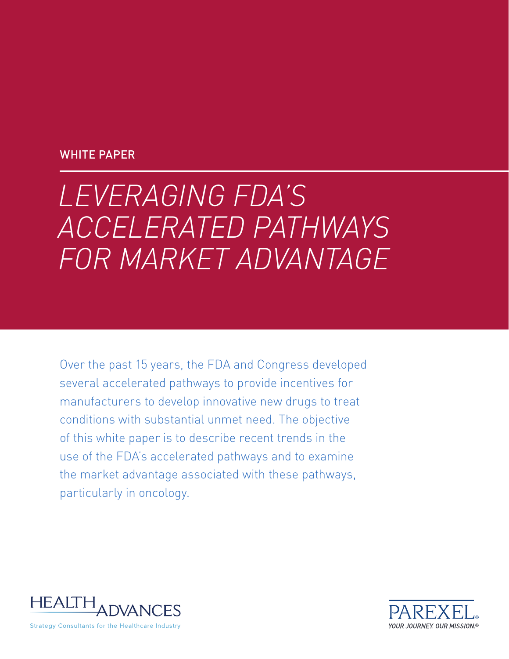# WHITE PAPER

# *LEVERAGING FDA'S ACCELERATED PATHWAYS FOR MARKET ADVANTAGE*

Over the past 15 years, the FDA and Congress developed several accelerated pathways to provide incentives for manufacturers to develop innovative new drugs to treat conditions with substantial unmet need. The objective of this white paper is to describe recent trends in the use of the FDA's accelerated pathways and to examine the market advantage associated with these pathways, particularly in oncology.



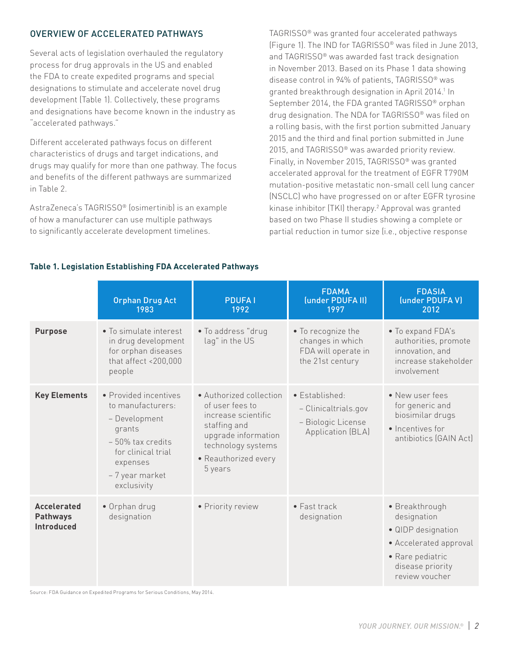# OVERVIEW OF ACCELERATED PATHWAYS

Several acts of legislation overhauled the regulatory process for drug approvals in the US and enabled the FDA to create expedited programs and special designations to stimulate and accelerate novel drug development (Table 1). Collectively, these programs and designations have become known in the industry as "accelerated pathways."

Different accelerated pathways focus on different characteristics of drugs and target indications, and drugs may qualify for more than one pathway. The focus and benefits of the different pathways are summarized in Table 2.

AstraZeneca's TAGRISSO® (osimertinib) is an example of how a manufacturer can use multiple pathways to significantly accelerate development timelines.

TAGRISSO® was granted four accelerated pathways (Figure 1). The IND for TAGRISSO® was filed in June 2013, and TAGRISSO® was awarded fast track designation in November 2013. Based on its Phase 1 data showing disease control in 94% of patients, TAGRISSO® was granted breakthrough designation in April 2014.<sup>1</sup> In September 2014, the FDA granted TAGRISSO® orphan drug designation. The NDA for TAGRISSO® was filed on a rolling basis, with the first portion submitted January 2015 and the third and final portion submitted in June 2015, and TAGRISSO® was awarded priority review. Finally, in November 2015, TAGRISSO® was granted accelerated approval for the treatment of EGFR T790M mutation-positive metastatic non-small cell lung cancer (NSCLC) who have progressed on or after EGFR tyrosine kinase inhibitor (TKI) therapy.2 Approval was granted based on two Phase II studies showing a complete or partial reduction in tumor size (i.e., objective response

## **Table 1. Legislation Establishing FDA Accelerated Pathways**

|                                                            | <b>Orphan Drug Act</b><br>1983                                                                                                                                   | <b>PDUFAI</b><br>1992                                                                                                                                             | <b>FDAMA</b><br>(under PDUFA II)<br>1997                                          | <b>FDASIA</b><br>(under PDUFAV)<br>2012                                                                                                 |
|------------------------------------------------------------|------------------------------------------------------------------------------------------------------------------------------------------------------------------|-------------------------------------------------------------------------------------------------------------------------------------------------------------------|-----------------------------------------------------------------------------------|-----------------------------------------------------------------------------------------------------------------------------------------|
| <b>Purpose</b>                                             | • To simulate interest<br>in drug development<br>for orphan diseases<br>that affect <200,000<br>people                                                           | • To address "drug<br>lag" in the US                                                                                                                              | • To recognize the<br>changes in which<br>FDA will operate in<br>the 21st century | • To expand FDA's<br>authorities, promote<br>innovation, and<br>increase stakeholder<br>involvement                                     |
| <b>Key Elements</b>                                        | • Provided incentives<br>to manufacturers:<br>- Development<br>grants<br>$-50\%$ tax credits<br>for clinical trial<br>expenses<br>- 7 year market<br>exclusivity | • Authorized collection<br>of user fees to<br>increase scientific<br>staffing and<br>upgrade information<br>technology systems<br>• Reauthorized every<br>5 years | • Established:<br>- Clinicaltrials.gov<br>- Biologic License<br>Application (BLA) | • New user fees<br>for generic and<br>biosimilar drugs<br>• Incentives for<br>antibiotics (GAIN Act)                                    |
| <b>Accelerated</b><br><b>Pathways</b><br><b>Introduced</b> | • Orphan drug<br>designation                                                                                                                                     | • Priority review                                                                                                                                                 | $\bullet$ Fast track<br>designation                                               | · Breakthrough<br>designation<br>· QIDP designation<br>• Accelerated approval<br>• Rare pediatric<br>disease priority<br>review voucher |

Source: FDA Guidance on Expedited Programs for Serious Conditions, May 2014.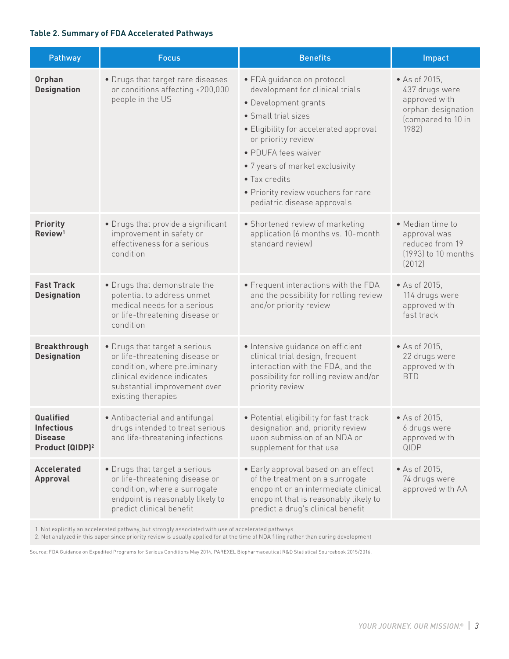#### **Table 2. Summary of FDA Accelerated Pathways**

| Pathway                                                                         | <b>Focus</b>                                                                                                                                                                         | <b>Benefits</b>                                                                                                                                                                                                                                                                                                               | Impact                                                                                                |
|---------------------------------------------------------------------------------|--------------------------------------------------------------------------------------------------------------------------------------------------------------------------------------|-------------------------------------------------------------------------------------------------------------------------------------------------------------------------------------------------------------------------------------------------------------------------------------------------------------------------------|-------------------------------------------------------------------------------------------------------|
| Orphan<br><b>Designation</b>                                                    | • Drugs that target rare diseases<br>or conditions affecting <200,000<br>people in the US                                                                                            | • FDA guidance on protocol<br>development for clinical trials<br>• Development grants<br>• Small trial sizes<br>• Eligibility for accelerated approval<br>or priority review<br>• PDUFA fees waiver<br>• 7 years of market exclusivity<br>• Tax credits<br>• Priority review vouchers for rare<br>pediatric disease approvals | • As of 2015,<br>437 drugs were<br>approved with<br>orphan designation<br>(compared to 10 in<br>1982) |
| <b>Priority</b><br>Review <sup>1</sup>                                          | • Drugs that provide a significant<br>improvement in safety or<br>effectiveness for a serious<br>condition                                                                           | • Shortened review of marketing<br>application (6 months vs. 10-month<br>standard review)                                                                                                                                                                                                                                     | • Median time to<br>approval was<br>reduced from 19<br>(1993) to 10 months<br>[2012]                  |
| <b>Fast Track</b><br><b>Designation</b>                                         | • Drugs that demonstrate the<br>potential to address unmet<br>medical needs for a serious<br>or life-threatening disease or<br>condition                                             | • Frequent interactions with the FDA<br>and the possibility for rolling review<br>and/or priority review                                                                                                                                                                                                                      | • As of 2015,<br>114 drugs were<br>approved with<br>fast track                                        |
| <b>Breakthrough</b><br><b>Designation</b>                                       | • Drugs that target a serious<br>or life-threatening disease or<br>condition, where preliminary<br>clinical evidence indicates<br>substantial improvement over<br>existing therapies | · Intensive guidance on efficient<br>clinical trial design, frequent<br>interaction with the FDA, and the<br>possibility for rolling review and/or<br>priority review                                                                                                                                                         | • As of 2015,<br>22 drugs were<br>approved with<br><b>BTD</b>                                         |
| Qualified<br><b>Infectious</b><br><b>Disease</b><br>Product (QIDP) <sup>2</sup> | • Antibacterial and antifungal<br>drugs intended to treat serious<br>and life-threatening infections                                                                                 | • Potential eligibility for fast track<br>designation and, priority review<br>upon submission of an NDA or<br>supplement for that use                                                                                                                                                                                         | • As of 2015,<br>6 drugs were<br>approved with<br>QIDP                                                |
| <b>Accelerated</b><br>Approval                                                  | • Drugs that target a serious<br>or life-threatening disease or<br>condition, where a surrogate<br>endpoint is reasonably likely to<br>predict clinical benefit                      | • Early approval based on an effect<br>of the treatment on a surrogate<br>endpoint or an intermediate clinical<br>endpoint that is reasonably likely to<br>predict a drug's clinical benefit                                                                                                                                  | $\bullet$ As of 2015,<br>74 drugs were<br>approved with AA                                            |

1. Not explicitly an accelerated pathway, but strongly associated with use of accelerated pathways

2. Not analyzed in this paper since priority review is usually applied for at the time of NDA filing rather than during development

Source: FDA Guidance on Expedited Programs for Serious Conditions May 2014, PAREXEL Biopharmaceutical R&D Statistical Sourcebook 2015/2016.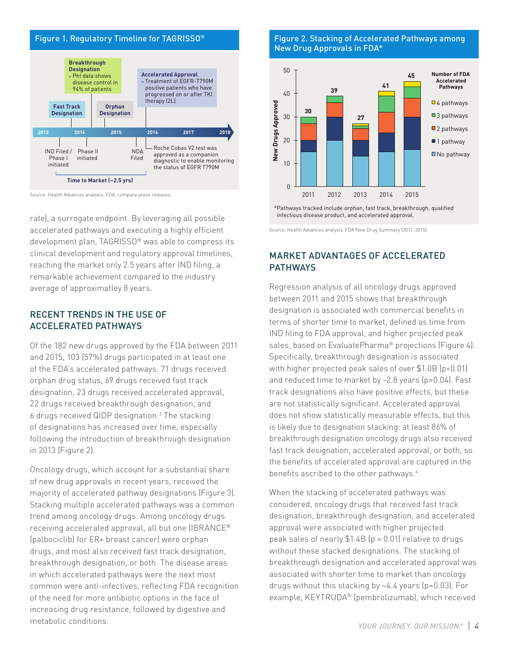

Source: Health Advances analysis, FDA, company press releases.

rate), a surrogate endpoint. By leveraging all possible accelerated pathways and executing a highly efficient development plan, TAGRISSO® was able to compress its clinical development and regulatory approval timelines, reaching the market only 2.5 years after IND filing, a remarkable achievement compared to the industry average of approximatley 8 years.

# RECENT TRENDS IN THE USE OF ACCELERATED PATHWAYS

Of the 182 new drugs approved by the FDA between 2011 and 2015, 103 (57%) drugs participated in at least one of the FDA's accelerated pathways. 71 drugs received orphan drug status, 69 drugs received fast track designation, 23 drugs received accelerated approval, 22 drugs received breakthrough designation, and 6 drugs received QIDP designation.3 The stacking of designations has increased over time, especially following the introduction of breakthrough designation in 2013 (Figure 2).

Oncology drugs, which account for a substantial share of new drug approvals in recent years, received the majority of accelerated pathway designations (Figure 3). Stacking multiple accelerated pathways was a common trend among oncology drugs. Among oncology drugs receiving accelerated approval, all but one (IBRANCE® (palbociclib) for ER+ breast cancer) were orphan drugs, and most also received fast track designation, breakthrough designation, or both. The disease areas in which accelerated pathways were the next most common were anti-infectives, reflecting FDA recognition of the need for more antibiotic options in the face of increasing drug resistance, followed by digestive and metabolic conditions.

# New Drug Approvals in FDA\*



\*Pathways tracked include orphan, fast track, breakthrough, qualified infectious disease product, and accelerated approval.

Source: Health Advances analysis, FDA New Drug Summary (2011-2015).

# MARKET ADVANTAGES OF ACCELERATED **PATHWAYS**

Regression analysis of all oncology drugs approved between 2011 and 2015 shows that breakthrough designation is associated with commercial benefits in terms of shorter time to market, defined as time from IND filing to FDA approval, and higher projected peak sales, based on EvaluatePharma<sup>®</sup> projections (Figure 4). Specifically, breakthrough designation is associated with higher projected peak sales of over \$1.0B (p<0.01) and reduced time to market by ~2.8 years (p=0.04). Fast track designations also have positive effects, but these are not statistically significant. Accelerated approval does not show statistically measurable effects, but this is likely due to designation stacking: at least 86% of breakthrough designation oncology drugs also received fast track designation, accelerated approval, or both, so the benefits of accelerated approval are captured in the benefits ascribed to the other pathways.<sup>4</sup>

When the stacking of accelerated pathways was considered, oncology drugs that received fast track designation, breakthrough designation, and accelerated approval were associated with higher projected peak sales of nearly  $$1.4B$  (p = 0.01) relative to drugs without these stacked designations. The stacking of breakthrough designation and accelerated approval was associated with shorter time to market than oncology drugs without this stacking by ~4.4 years (p=0.03). For example, KEYTRUDA® (pembrolizumab), which received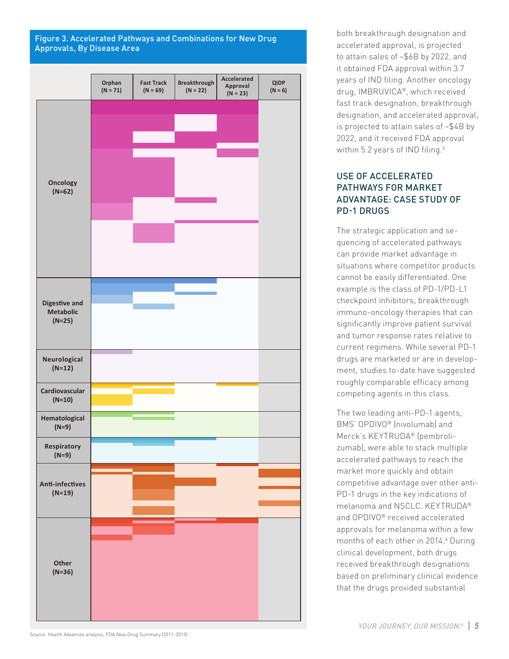# Figure 3. Accelerated Pathways and Combinations for New Drug Approvals, By Disease Area



both breakthrough designation and accelerated approval, is projected to attain sales of ~\$6B by 2022, and it obtained FDA approval within 3.7 years of IND filing. Another oncology drug, IMBRUVICA®, which received fast track designation, breakthrough designation, and accelerated approval, is projected to attain sales of ~\$4B by 2022, and it received FDA approval within 5.2 years of IND filing.<sup>5</sup>

# USE OF ACCELERATED PATHWAYS FOR MARKET ADVANTAGE: CASE STUDY OF PD-1 DRUGS

The strategic application and sequencing of accelerated pathways can provide market advantage in situations where competitor products cannot be easily differentiated. One example is the class of PD-1/PD-L1 checkpoint inhibitors, breakthrough immuno-oncology therapies that can significantly improve patient survival and tumor response rates relative to current regimens. While several PD-1 drugs are marketed or are in development, studies to-date have suggested roughly comparable efficacy among competing agents in this class.

The two leading anti-PD-1 agents, BMS' OPDIVO® (nivolumab) and Merck's KEYTRUDA® (pembrolizumab), were able to stack multiple accelerated pathways to reach the market more quickly and obtain competitive advantage over other anti-PD-1 drugs in the key indications of melanoma and NSCLC. KEYTRUDA® and OPDIVO® received accelerated approvals for melanoma within a few months of each other in 2014.<sup>6</sup> During clinical development, both drugs received breakthrough designations based on preliminary clinical evidence that the drugs provided substantial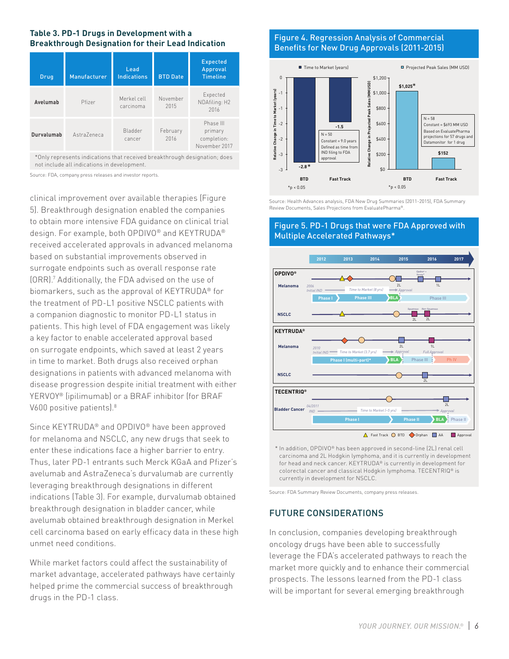### **Table 3. PD-1 Drugs in Development with a Breakthrough Designation for their Lead Indication**

| Drug       | Manufacturer | Lead<br><b>Indications</b> | <b>BTD Date</b>  | <b>Expected</b><br>Approval<br><b>Timeline</b>       |
|------------|--------------|----------------------------|------------------|------------------------------------------------------|
| Avelumab   | Pfizer       | Merkel cell<br>carcinoma   | November<br>2015 | Expected<br>NDAfiling: H2<br>2016                    |
| Durvalumab | Astra7eneca  | Bladder<br>cancer          | February<br>2016 | Phase III<br>primary<br>completion:<br>November 2017 |

\*Only represents indications that received breakthrough designation; does not include all indications in development.

Source: FDA, company press releases and investor reports.

clinical improvement over available therapies (Figure 5). Breakthrough designation enabled the companies to obtain more intensive FDA guidance on clinical trial design. For example, both OPDIVO® and KEYTRUDA® received accelerated approvals in advanced melanoma based on substantial improvements observed in surrogate endpoints such as overall response rate (ORR).7 Additionally, the FDA advised on the use of biomarkers, such as the approval of KEYTRUDA® for the treatment of PD-L1 positive NSCLC patients with a companion diagnostic to monitor PD-L1 status in patients. This high level of FDA engagement was likely a key factor to enable accelerated approval based on surrogate endpoints, which saved at least 2 years in time to market. Both drugs also received orphan designations in patients with advanced melanoma with disease progression despite initial treatment with either YERVOY® (ipilimumab) or a BRAF inhibitor (for BRAF V600 positive patients).<sup>8</sup>

Since KEYTRUDA® and OPDIVO® have been approved for melanoma and NSCLC, any new drugs that seek to enter these indications face a higher barrier to entry. Thus, later PD-1 entrants such Merck KGaA and Pfizer's avelumab and AstraZeneca's durvalumab are currently leveraging breakthrough designations in different indications (Table 3). For example, durvalumab obtained breakthrough designation in bladder cancer, while avelumab obtained breakthrough designation in Merkel cell carcinoma based on early efficacy data in these high unmet need conditions.

While market factors could affect the sustainability of market advantage, accelerated pathways have certainly helped prime the commercial success of breakthrough drugs in the PD-1 class.

# Figure 4. Regression Analysis of Commercial Benefits for New Drug Approvals (2011-2015)



Source: Health Advances analysis, FDA New Drug Summaries (2011-2015), FDA Summary Review Documents, Sales Projections from EvaluatePharma®.

# Figure 5. PD-1 Drugs that were FDA Approved with Multiple Accelerated Pathways\*



\* In addition, OPDIVO® has been approved in second-line (2L) renal cell carcinoma and 2L Hodgkin lymphoma, and it is currently in development for head and neck cancer. KEYTRUDA® is currently in development for colorectal cancer and classical Hodgkin lymphoma. TECENTRIQ® is currently in development for NSCLC.

Source: FDA Summary Review Documents, company press releases.

# FUTURE CONSIDERATIONS

In conclusion, companies developing breakthrough oncology drugs have been able to successfully leverage the FDA's accelerated pathways to reach the market more quickly and to enhance their commercial prospects. The lessons learned from the PD-1 class will be important for several emerging breakthrough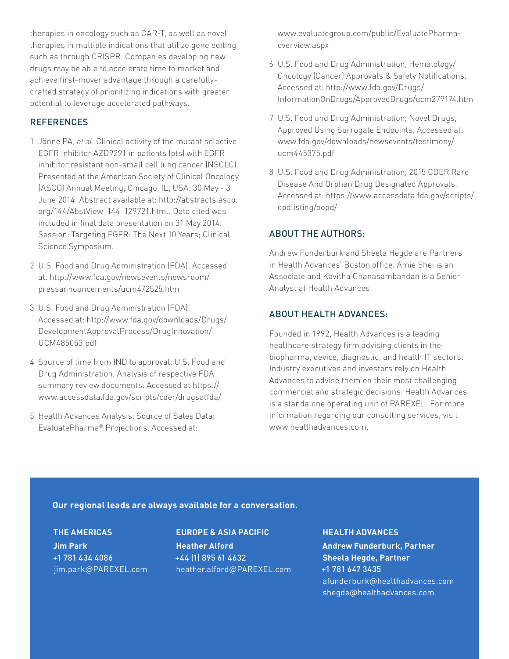therapies in oncology such as CAR-T, as well as novel therapies in multiple indications that utilize gene editing such as through CRISPR. Companies developing new drugs may be able to accelerate time to market and achieve first-mover advantage through a carefullycrafted strategy of prioritizing indications with greater potential to leverage accelerated pathways.

# **REFERENCES**

- 1 Jänne PA, *et al*. Clinical activity of the mutant selective EGFR Inhibitor AZD9291 in patients (pts) with EGFR inhibitor resistant non-small cell lung cancer (NSCLC). Presented at the American Society of Clinical Oncology (ASCO) Annual Meeting, Chicago, IL, USA; 30 May - 3 June 2014. Abstract available at: http://abstracts.asco. org/144/AbstView\_144\_129721.html. Data cited was included in final data presentation on 31 May 2014: Session: Targeting EGFR: The Next 10 Years; Clinical Science Symposium.
- 2 U.S. Food and Drug Administration (FDA), Accessed at: http://www.fda.gov/newsevents/newsroom/ pressannouncements/ucm472525.htm
- 3 U.S. Food and Drug Administration (FDA), Accessed at: http://www.fda.gov/downloads/Drugs/ DevelopmentApprovalProcess/DrugInnovation/ UCM485053.pdf
- 4 Source of time from IND to approval: U.S. Food and Drug Administration, Analysis of respective FDA summary review documents. Accessed at https:// www.accessdata.fda.gov/scripts/cder/drugsatfda/
- 5 Health Advances Analysis; Source of Sales Data: EvaluatePharma® Projections. Accessed at:

www.evaluategroup.com/public/EvaluatePharmaoverview.aspx

- 6 U.S. Food and Drug Administration, Hematology/ Oncology (Cancer) Approvals & Safety Notifications. Accessed at: http://www.fda.gov/Drugs/ InformationOnDrugs/ApprovedDrugs/ucm279174.htm
- 7 U.S. Food and Drug Administration, Novel Drugs, Approved Using Surrogate Endpoints. Accessed at: www.fda.gov/downloads/newsevents/testimony/ ucm445375.pdf
- 8 U.S. Food and Drug Administration, 2015 CDER Rare Disease And Orphan Drug Designated Approvals. Accessed at: https://www.accessdata.fda.gov/scripts/ opdlisting/oopd/

# ABOUT THE AUTHORS:

Andrew Funderburk and Sheela Hegde are Partners in Health Advances' Boston office. Amie Shei is an Associate and Kavitha Gnanasambandan is a Senior Analyst at Health Advances.

# ABOUT HEALTH ADVANCES:

Founded in 1992, Health Advances is a leading healthcare strategy firm advising clients in the biopharma, device, diagnostic, and health IT sectors. Industry executives and investors rely on Health Advances to advise them on their most challenging commercial and strategic decisions. Health Advances is a standalone operating unit of PAREXEL. For more information regarding our consulting services, visit www.healthadvances.com.

## **Our regional leads are always available for a conversation.**

# **THE AMERICAS**

**Jim Park** +1 781 434 4086 jim.park@PAREXEL.com

**EUROPE & ASIA PACIFIC Heather Alford** +44 (1) 895 61 4632 heather.alford@PAREXEL.com

#### **HEALTH ADVANCES**

**Andrew Funderburk, Partner Sheela Hegde, Partner** +1 781 647 3435 afunderburk@healthadvances.com shegde@healthadvances.com